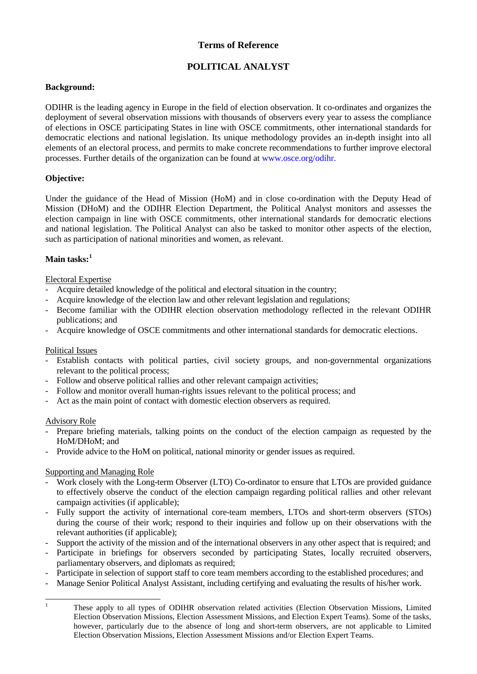# **Terms of Reference**

# **POLITICAL ANALYST**

## **Background:**

ODIHR is the leading agency in Europe in the field of election observation. It co-ordinates and organizes the deployment of several observation missions with thousands of observers every year to assess the compliance of elections in OSCE participating States in line with OSCE commitments, other international standards for democratic elections and national legislation. Its unique methodology provides an in-depth insight into all elements of an electoral process, and permits to make concrete recommendations to further improve electoral processes. Further details of the organization can be found at [www.osce.org/odihr.](http://www.osce.org/odihr)

### **Objective:**

Under the guidance of the Head of Mission (HoM) and in close co-ordination with the Deputy Head of Mission (DHoM) and the ODIHR Election Department, the Political Analyst monitors and assesses the election campaign in line with OSCE commitments, other international standards for democratic elections and national legislation. The Political Analyst can also be tasked to monitor other aspects of the election, such as participation of national minorities and women, as relevant.

# **Main tasks: [1](#page-0-0)**

#### Electoral Expertise

- Acquire detailed knowledge of the political and electoral situation in the country;
- Acquire knowledge of the election law and other relevant legislation and regulations;
- Become familiar with the ODIHR election observation methodology reflected in the relevant ODIHR publications; and
- Acquire knowledge of OSCE commitments and other international standards for democratic elections.

#### Political Issues

- Establish contacts with political parties, civil society groups, and non-governmental organizations relevant to the political process;
- Follow and observe political rallies and other relevant campaign activities;
- Follow and monitor overall human-rights issues relevant to the political process; and
- Act as the main point of contact with domestic election observers as required.

#### Advisory Role

- Prepare briefing materials, talking points on the conduct of the election campaign as requested by the HoM/DHoM; and
- Provide advice to the HoM on political, national minority or gender issues as required.

## Supporting and Managing Role

- Work closely with the Long-term Observer (LTO) Co-ordinator to ensure that LTOs are provided guidance to effectively observe the conduct of the election campaign regarding political rallies and other relevant campaign activities (if applicable);
- Fully support the activity of international core-team members, LTOs and short-term observers (STOs) during the course of their work; respond to their inquiries and follow up on their observations with the relevant authorities (if applicable);
- Support the activity of the mission and of the international observers in any other aspect that is required; and
- Participate in briefings for observers seconded by participating States, locally recruited observers, parliamentary observers, and diplomats as required;
- Participate in selection of support staff to core team members according to the established procedures; and
- Manage Senior Political Analyst Assistant, including certifying and evaluating the results of his/her work.

<span id="page-0-0"></span><sup>&</sup>lt;sup>1</sup> These apply to all types of ODIHR observation related activities (Election Observation Missions, Limited Election Observation Missions, Election Assessment Missions, and Election Expert Teams). Some of the tasks, however, particularly due to the absence of long and short-term observers, are not applicable to Limited Election Observation Missions, Election Assessment Missions and/or Election Expert Teams.